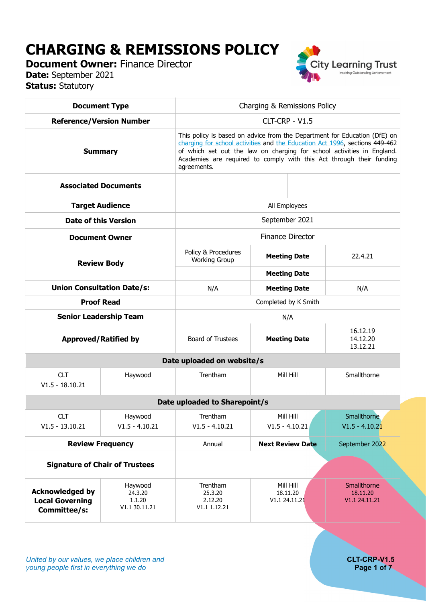# **CHARGING & REMISSIONS POLICY**

**Document Owner: Finance Director Date:** September 2021 **Status:** Statutory



| <b>Document Type</b>                                             |                                               | Charging & Remissions Policy                                                                                                                                                                                                                                                                                              |                                        |                                          |  |  |  |
|------------------------------------------------------------------|-----------------------------------------------|---------------------------------------------------------------------------------------------------------------------------------------------------------------------------------------------------------------------------------------------------------------------------------------------------------------------------|----------------------------------------|------------------------------------------|--|--|--|
| <b>Reference/Version Number</b>                                  |                                               | CLT-CRP - V1.5                                                                                                                                                                                                                                                                                                            |                                        |                                          |  |  |  |
| <b>Summary</b>                                                   |                                               | This policy is based on advice from the Department for Education (DfE) on<br>charging for school activities and the Education Act 1996, sections 449-462<br>of which set out the law on charging for school activities in England.<br>Academies are required to comply with this Act through their funding<br>agreements. |                                        |                                          |  |  |  |
| <b>Associated Documents</b>                                      |                                               |                                                                                                                                                                                                                                                                                                                           |                                        |                                          |  |  |  |
| <b>Target Audience</b>                                           |                                               | All Employees                                                                                                                                                                                                                                                                                                             |                                        |                                          |  |  |  |
| <b>Date of this Version</b>                                      |                                               | September 2021                                                                                                                                                                                                                                                                                                            |                                        |                                          |  |  |  |
| <b>Document Owner</b>                                            |                                               | <b>Finance Director</b>                                                                                                                                                                                                                                                                                                   |                                        |                                          |  |  |  |
| <b>Review Body</b>                                               |                                               | Policy & Procedures<br><b>Working Group</b>                                                                                                                                                                                                                                                                               | <b>Meeting Date</b>                    | 22.4.21                                  |  |  |  |
|                                                                  |                                               |                                                                                                                                                                                                                                                                                                                           | <b>Meeting Date</b>                    |                                          |  |  |  |
|                                                                  | <b>Union Consultation Date/s:</b>             | N/A                                                                                                                                                                                                                                                                                                                       | <b>Meeting Date</b>                    | N/A                                      |  |  |  |
|                                                                  | <b>Proof Read</b>                             | Completed by K Smith                                                                                                                                                                                                                                                                                                      |                                        |                                          |  |  |  |
| <b>Senior Leadership Team</b>                                    |                                               | N/A                                                                                                                                                                                                                                                                                                                       |                                        |                                          |  |  |  |
| <b>Approved/Ratified by</b>                                      |                                               | Board of Trustees                                                                                                                                                                                                                                                                                                         | <b>Meeting Date</b>                    | 16.12.19<br>14.12.20<br>13.12.21         |  |  |  |
|                                                                  |                                               | Date uploaded on website/s                                                                                                                                                                                                                                                                                                |                                        |                                          |  |  |  |
| <b>CLT</b><br>$V1.5 - 18.10.21$                                  | Haywood                                       | Trentham                                                                                                                                                                                                                                                                                                                  | Mill Hill                              | Smallthorne                              |  |  |  |
| Date uploaded to Sharepoint/s                                    |                                               |                                                                                                                                                                                                                                                                                                                           |                                        |                                          |  |  |  |
| <b>CLT</b><br>$V1.5 - 13.10.21$                                  | Haywood<br>$V1.5 - 4.10.21$                   | Trentham<br>$V1.5 - 4.10.21$                                                                                                                                                                                                                                                                                              | Mill Hill<br>$V1.5 - 4.10.21$          | Smallthorne<br>$V1.5 - 4.10.21$          |  |  |  |
| <b>Review Frequency</b>                                          |                                               | Annual                                                                                                                                                                                                                                                                                                                    | <b>Next Review Date</b>                | September 2022                           |  |  |  |
| <b>Signature of Chair of Trustees</b>                            |                                               |                                                                                                                                                                                                                                                                                                                           |                                        |                                          |  |  |  |
| <b>Acknowledged by</b><br><b>Local Governing</b><br>Committee/s: | Haywood<br>24.3.20<br>1.1.20<br>V1.1 30.11.21 | Trentham<br>25.3.20<br>2.12.20<br>V1.1 1.12.21                                                                                                                                                                                                                                                                            | Mill Hill<br>18.11.20<br>V1.1 24.11.21 | Smallthorne<br>18.11.20<br>V1.1 24.11.21 |  |  |  |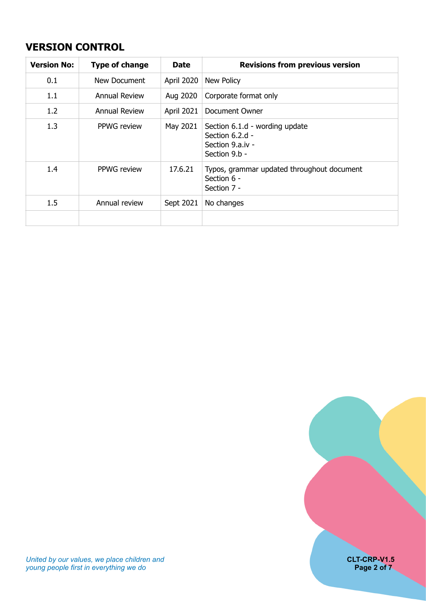# <span id="page-1-0"></span>**VERSION CONTROL**

| <b>Version No:</b> | <b>Type of change</b> | <b>Date</b> | <b>Revisions from previous version</b>                                                 |
|--------------------|-----------------------|-------------|----------------------------------------------------------------------------------------|
| 0.1                | New Document          | April 2020  | <b>New Policy</b>                                                                      |
| 1.1                | <b>Annual Review</b>  | Aug 2020    | Corporate format only                                                                  |
| 1.2                | <b>Annual Review</b>  | April 2021  | Document Owner                                                                         |
| 1.3                | PPWG review           | May 2021    | Section 6.1.d - wording update<br>Section 6.2.d -<br>Section 9.a.iv -<br>Section 9.b - |
| 1.4                | <b>PPWG</b> review    | 17.6.21     | Typos, grammar updated throughout document<br>Section 6 -<br>Section 7 -               |
| 1.5                | Annual review         | Sept 2021   | No changes                                                                             |
|                    |                       |             |                                                                                        |

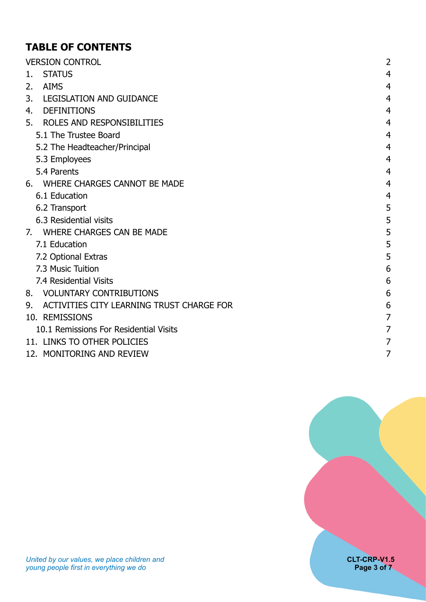# **TABLE OF CONTENTS**

| <b>VERSION CONTROL</b>                          | 2              |  |
|-------------------------------------------------|----------------|--|
| <b>STATUS</b><br>1.                             | 4              |  |
| <b>AIMS</b><br>2.                               | 4              |  |
| 3.<br><b>LEGISLATION AND GUIDANCE</b>           | 4              |  |
| <b>DEFINITIONS</b><br>4.                        | $\overline{4}$ |  |
| ROLES AND RESPONSIBILITIES<br>5.                | 4              |  |
| 5.1 The Trustee Board                           | $\overline{4}$ |  |
| 5.2 The Headteacher/Principal                   | 4              |  |
| 5.3 Employees                                   | $\overline{4}$ |  |
| 5.4 Parents                                     | 4              |  |
| WHERE CHARGES CANNOT BE MADE<br>6.              | $\overline{4}$ |  |
| 6.1 Education                                   | $\overline{4}$ |  |
| 6.2 Transport                                   | 5              |  |
| 6.3 Residential visits                          | 5              |  |
| WHERE CHARGES CAN BE MADE<br>7.                 | 5              |  |
| 7.1 Education                                   | 5              |  |
| 7.2 Optional Extras                             | 5              |  |
| 7.3 Music Tuition                               | 6              |  |
| 7.4 Residential Visits                          | 6              |  |
| <b>VOLUNTARY CONTRIBUTIONS</b><br>8.            | 6              |  |
| ACTIVITIES CITY LEARNING TRUST CHARGE FOR<br>9. | 6              |  |
| 10. REMISSIONS                                  | $\overline{7}$ |  |
| 10.1 Remissions For Residential Visits          |                |  |
| 11. LINKS TO OTHER POLICIES                     |                |  |
| 12. MONITORING AND REVIEW                       | 7              |  |

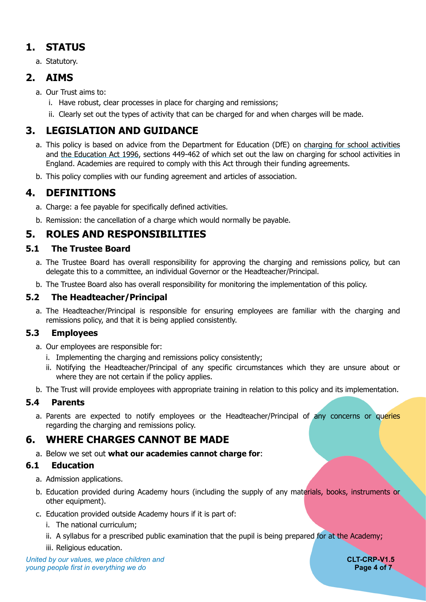# **1. STATUS**

<span id="page-3-1"></span><span id="page-3-0"></span>a. Statutory.

# **2. AIMS**

- a. Our Trust aims to:
	- i. Have robust, clear processes in place for charging and remissions;
	- ii. Clearly set out the types of activity that can be charged for and when charges will be made.

# **3. LEGISLATION AND GUIDANCE**

- <span id="page-3-2"></span>a. This policy is based on advice from the Department for Education (DfE) on [charging for school activities](https://www.gov.uk/government/publications/charging-for-school-activities) and [the Education Act 1996,](http://www.legislation.gov.uk/ukpga/1996/56/part/VI/chapter/III) sections 449-462 of which set out the law on charging for school activities in England. Academies are required to comply with this Act through their funding agreements.
- <span id="page-3-3"></span>b. This policy complies with our funding agreement and articles of association.

# **4. DEFINITIONS**

- a. Charge: a fee payable for specifically defined activities.
- <span id="page-3-4"></span>b. Remission: the cancellation of a charge which would normally be payable.

# **5. ROLES AND RESPONSIBILITIES**

### <span id="page-3-5"></span>**5.1 The Trustee Board**

- a. The Trustee Board has overall responsibility for approving the charging and remissions policy, but can delegate this to a committee, an individual Governor or the Headteacher/Principal.
- b. The Trustee Board also has overall responsibility for monitoring the implementation of this policy.

### <span id="page-3-6"></span>**5.2 The Headteacher/Principal**

a. The Headteacher/Principal is responsible for ensuring employees are familiar with the charging and remissions policy, and that it is being applied consistently.

#### <span id="page-3-7"></span>**5.3 Employees**

- a. Our employees are responsible for:
	- i. Implementing the charging and remissions policy consistently;
	- ii. Notifying the Headteacher/Principal of any specific circumstances which they are unsure about or where they are not certain if the policy applies.
- b. The Trust will provide employees with appropriate training in relation to this policy and its implementation.

### <span id="page-3-8"></span>**5.4 Parents**

a. Parents are expected to notify employees or the Headteacher/Principal of any concerns or queries regarding the charging and remissions policy.

# **6. WHERE CHARGES CANNOT BE MADE**

<span id="page-3-9"></span>a. Below we set out **what our academies cannot charge for**:

#### <span id="page-3-10"></span>**6.1 Education**

- a. Admission applications.
- b. Education provided during Academy hours (including the supply of any materials, books, instruments or other equipment).
- c. Education provided outside Academy hours if it is part of:
	- i. The national curriculum;
	- ii. A syllabus for a prescribed public examination that the pupil is being prepared for at the Academy;
	- iii. Religious education.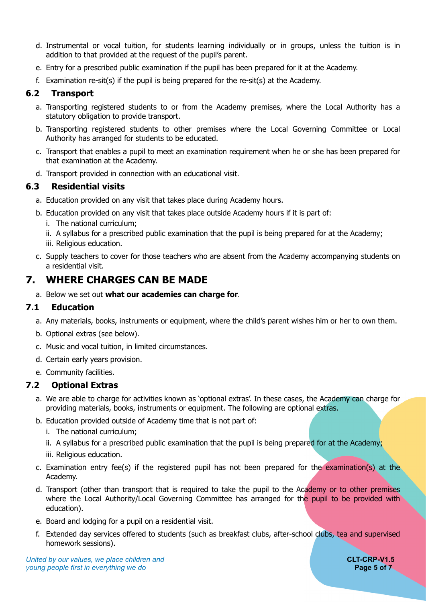- d. Instrumental or vocal tuition, for students learning individually or in groups, unless the tuition is in addition to that provided at the request of the pupil's parent.
- e. Entry for a prescribed public examination if the pupil has been prepared for it at the Academy.
- f. Examination re-sit(s) if the pupil is being prepared for the re-sit(s) at the Academy.

#### <span id="page-4-0"></span>**6.2 Transport**

- a. Transporting registered students to or from the Academy premises, where the Local Authority has a statutory obligation to provide transport.
- b. Transporting registered students to other premises where the Local Governing Committee or Local Authority has arranged for students to be educated.
- c. Transport that enables a pupil to meet an examination requirement when he or she has been prepared for that examination at the Academy.
- d. Transport provided in connection with an educational visit.

#### <span id="page-4-1"></span>**6.3 Residential visits**

- a. Education provided on any visit that takes place during Academy hours.
- b. Education provided on any visit that takes place outside Academy hours if it is part of:
	- i. The national curriculum;
	- ii. A syllabus for a prescribed public examination that the pupil is being prepared for at the Academy;
	- iii. Religious education.
- c. Supply teachers to cover for those teachers who are absent from the Academy accompanying students on a residential visit.

### **7. WHERE CHARGES CAN BE MADE**

<span id="page-4-2"></span>a. Below we set out **what our academies can charge for**.

#### <span id="page-4-3"></span>**7.1 Education**

- a. Any materials, books, instruments or equipment, where the child's parent wishes him or her to own them.
- b. Optional extras (see below).
- c. Music and vocal tuition, in limited circumstances.
- d. Certain early years provision.
- e. Community facilities.

#### <span id="page-4-4"></span>**7.2 Optional Extras**

- a. We are able to charge for activities known as 'optional extras'. In these cases, the Academy can charge for providing materials, books, instruments or equipment. The following are optional extras.
- b. Education provided outside of Academy time that is not part of:
	- i. The national curriculum;
	- ii. A syllabus for a prescribed public examination that the pupil is being prepared for at the Academy;
	- iii. Religious education.
- c. Examination entry fee(s) if the registered pupil has not been prepared for the examination(s) at the Academy.
- d. Transport (other than transport that is required to take the pupil to the Academy or to other premises where the Local Authority/Local Governing Committee has arranged for the pupil to be provided with education).
- e. Board and lodging for a pupil on a residential visit.
- f. Extended day services offered to students (such as breakfast clubs, after-school clubs, tea and supervised homework sessions).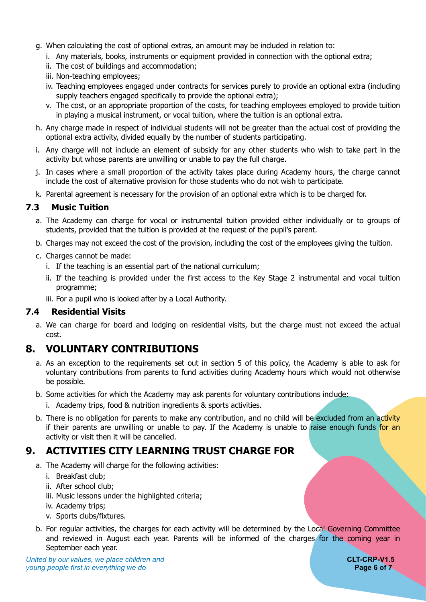- g. When calculating the cost of optional extras, an amount may be included in relation to:
	- i. Any materials, books, instruments or equipment provided in connection with the optional extra;
	- ii. The cost of buildings and accommodation;
	- iii. Non-teaching employees;
	- iv. Teaching employees engaged under contracts for services purely to provide an optional extra (including supply teachers engaged specifically to provide the optional extra);
	- v. The cost, or an appropriate proportion of the costs, for teaching employees employed to provide tuition in playing a musical instrument, or vocal tuition, where the tuition is an optional extra.
- h. Any charge made in respect of individual students will not be greater than the actual cost of providing the optional extra activity, divided equally by the number of students participating.
- i. Any charge will not include an element of subsidy for any other students who wish to take part in the activity but whose parents are unwilling or unable to pay the full charge.
- j. In cases where a small proportion of the activity takes place during Academy hours, the charge cannot include the cost of alternative provision for those students who do not wish to participate.
- k. Parental agreement is necessary for the provision of an optional extra which is to be charged for.

#### <span id="page-5-0"></span>**7.3 Music Tuition**

- a. The Academy can charge for vocal or instrumental tuition provided either individually or to groups of students, provided that the tuition is provided at the request of the pupil's parent.
- b. Charges may not exceed the cost of the provision, including the cost of the employees giving the tuition.
- c. Charges cannot be made:
	- i. If the teaching is an essential part of the national curriculum;
	- ii. If the teaching is provided under the first access to the Key Stage 2 instrumental and vocal tuition programme;
	- iii. For a pupil who is looked after by a Local Authority.

#### <span id="page-5-1"></span>**7.4 Residential Visits**

a. We can charge for board and lodging on residential visits, but the charge must not exceed the actual cost.

### **8. VOLUNTARY CONTRIBUTIONS**

- <span id="page-5-2"></span>a. As an exception to the requirements set out in section 5 of this policy, the Academy is able to ask for voluntary contributions from parents to fund activities during Academy hours which would not otherwise be possible.
- b. Some activities for which the Academy may ask parents for voluntary contributions include:
	- i. Academy trips, food & nutrition ingredients & sports activities.
- b. There is no obligation for parents to make any contribution, and no child will be excluded from an activity if their parents are unwilling or unable to pay. If the Academy is unable to raise enough funds for an activity or visit then it will be cancelled.

### **9. ACTIVITIES CITY LEARNING TRUST CHARGE FOR**

- <span id="page-5-3"></span>a. The Academy will charge for the following activities:
	- i. Breakfast club;
	- ii. After school club;
	- iii. Music lessons under the highlighted criteria;
	- iv. Academy trips;
	- v. Sports clubs/fixtures.
- b. For regular activities, the charges for each activity will be determined by the Local Governing Committee and reviewed in August each year. Parents will be informed of the charges for the coming year in September each year.

*United by our values, we place children and* **CLT-CRP-V1.5** *young people first in everything we do* **Page 6 of 7** and *Page 6 of 7* and *Page 6 of 7*